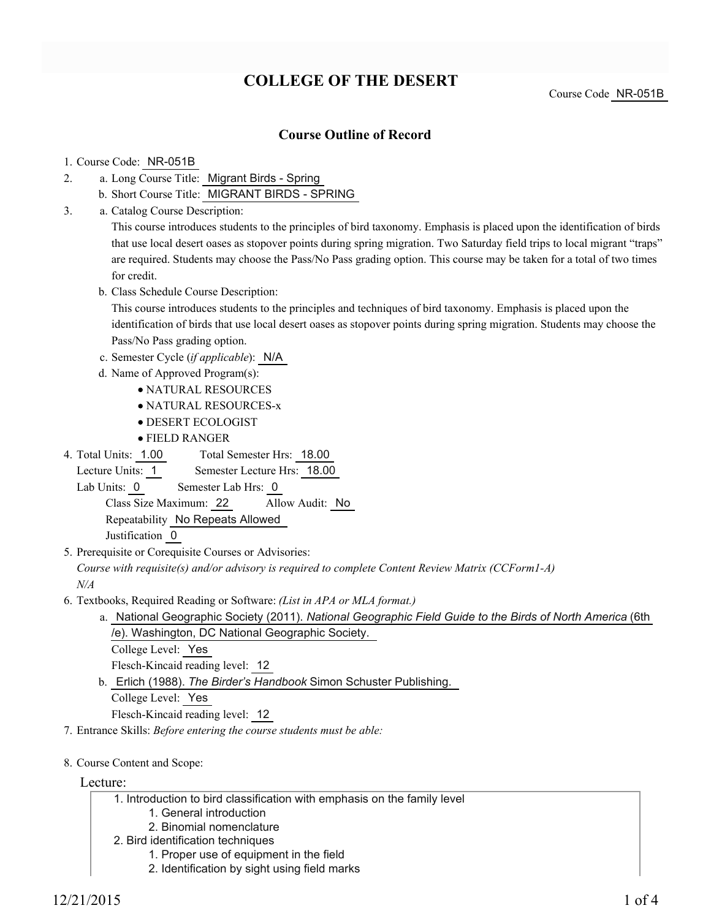# **COLLEGE OF THE DESERT**

Course Code NR-051B

### **Course Outline of Record**

#### 1. Course Code: NR-051B

- a. Long Course Title: Migrant Birds Spring 2.
	- b. Short Course Title: MIGRANT BIRDS SPRING
- Catalog Course Description: a. 3.

This course introduces students to the principles of bird taxonomy. Emphasis is placed upon the identification of birds that use local desert oases as stopover points during spring migration. Two Saturday field trips to local migrant "traps" are required. Students may choose the Pass/No Pass grading option. This course may be taken for a total of two times for credit.

b. Class Schedule Course Description:

This course introduces students to the principles and techniques of bird taxonomy. Emphasis is placed upon the identification of birds that use local desert oases as stopover points during spring migration. Students may choose the Pass/No Pass grading option.

- c. Semester Cycle (*if applicable*): N/A
- d. Name of Approved Program(s):
	- NATURAL RESOURCES
	- NATURAL RESOURCES-x
	- DESERT ECOLOGIST
	- FIELD RANGER
- Total Semester Hrs: 18.00 4. Total Units: 1.00
	- Lecture Units: 1 Semester Lecture Hrs: 18.00

Lab Units: 0 Semester Lab Hrs: 0 Class Size Maximum: 22 Allow Audit: No

Repeatability No Repeats Allowed

Justification 0

5. Prerequisite or Corequisite Courses or Advisories:

*Course with requisite(s) and/or advisory is required to complete Content Review Matrix (CCForm1-A)*

*N/A*

- Textbooks, Required Reading or Software: *(List in APA or MLA format.)* 6.
	- a. National Geographic Society (2011). *National Geographic Field Guide to the Birds of North America* (6th /e). Washington, DC National Geographic Society.

College Level: Yes

Flesch-Kincaid reading level: 12

b. Erlich (1988). The Birder's Handbook Simon Schuster Publishing.

College Level: Yes

Flesch-Kincaid reading level: 12

- 7. Entrance Skills: *Before entering the course students must be able:*
- 8. Course Content and Scope:

Lecture:

- 1. Introduction to bird classification with emphasis on the family level
	- 1. General introduction
	- 2. Binomial nomenclature
- 2. Bird identification techniques
	- 1. Proper use of equipment in the field
	- 2. Identification by sight using field marks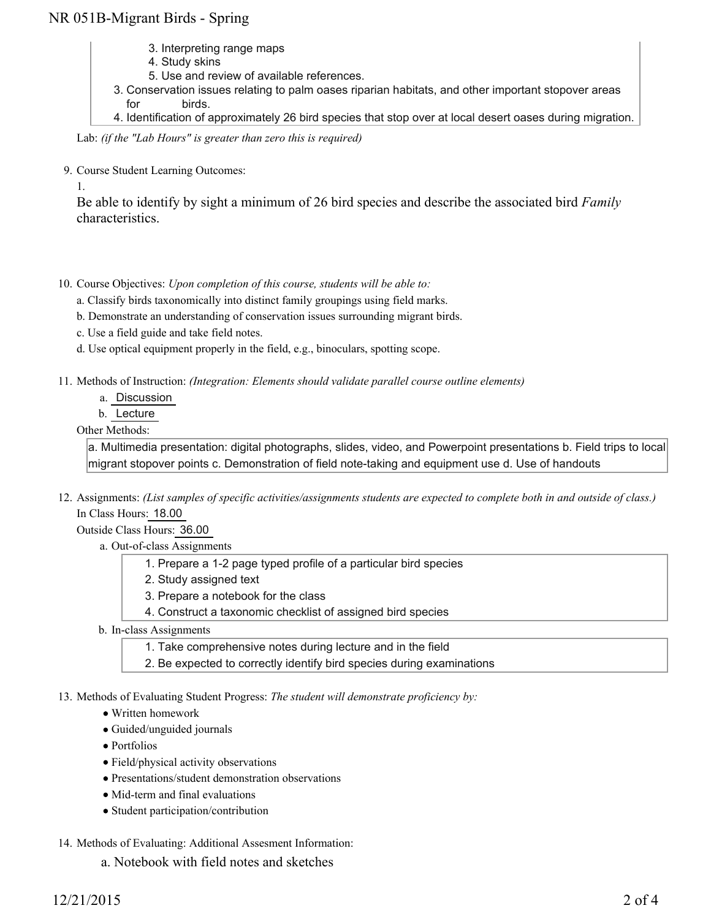## NR 051B-Migrant Birds - Spring

- 3. Interpreting range maps
- 4. Study skins
- 5. Use and review of available references.
- 3. Conservation issues relating to palm oases riparian habitats, and other important stopover areas for birds.
- 4. Identification of approximately 26 bird species that stop over at local desert oases during migration.

Lab: *(if the "Lab Hours" is greater than zero this is required)*

9. Course Student Learning Outcomes:

1.

Be able to identify by sight a minimum of 26 bird species and describe the associated bird *Family* characteristics.

- 10. Course Objectives: Upon completion of this course, students will be able to:
	- a. Classify birds taxonomically into distinct family groupings using field marks.
	- b. Demonstrate an understanding of conservation issues surrounding migrant birds.
	- c. Use a field guide and take field notes.
	- d. Use optical equipment properly in the field, e.g., binoculars, spotting scope.
- Methods of Instruction: *(Integration: Elements should validate parallel course outline elements)* 11.
	- a. Discussion
	- b. Lecture

#### Other Methods:

a. Multimedia presentation: digital photographs, slides, video, and Powerpoint presentations b. Field trips to local migrant stopover points c. Demonstration of field note-taking and equipment use d. Use of handouts

12. Assignments: (List samples of specific activities/assignments students are expected to complete both in and outside of class.) In Class Hours: 18.00

Outside Class Hours: 36.00

- a. Out-of-class Assignments
	- 1. Prepare a 1-2 page typed profile of a particular bird species
	- 2. Study assigned text
	- 3. Prepare a notebook for the class
	- 4. Construct a taxonomic checklist of assigned bird species
- b. In-class Assignments
	- 1. Take comprehensive notes during lecture and in the field
	- 2. Be expected to correctly identify bird species during examinations
- 13. Methods of Evaluating Student Progress: The student will demonstrate proficiency by:
	- Written homework
	- Guided/unguided journals
	- Portfolios
	- Field/physical activity observations
	- Presentations/student demonstration observations
	- Mid-term and final evaluations
	- Student participation/contribution

#### 14. Methods of Evaluating: Additional Assesment Information:

a. Notebook with field notes and sketches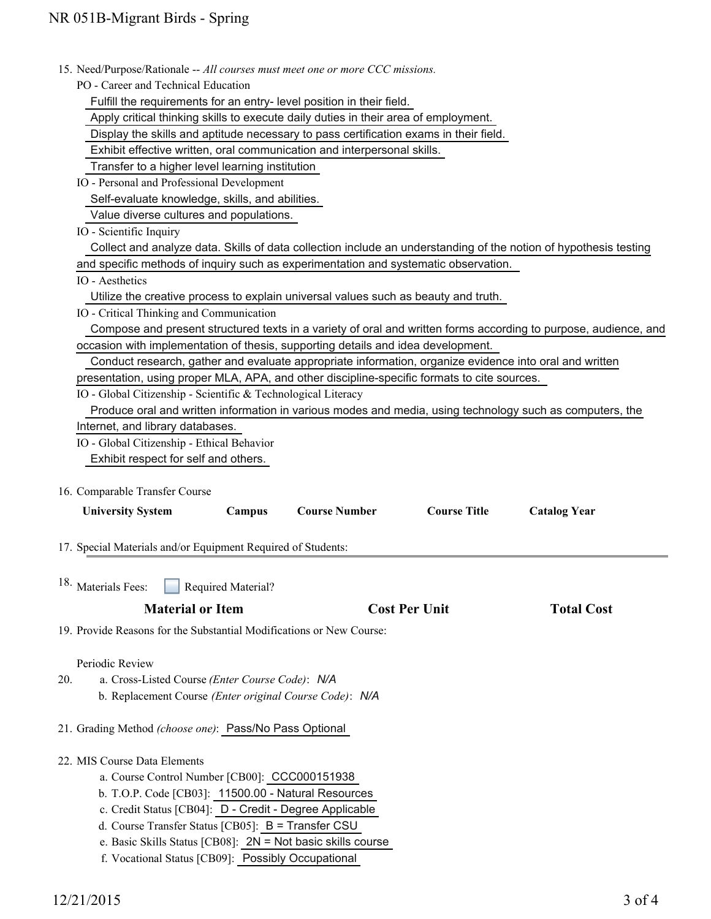| 15. Need/Purpose/Rationale -- All courses must meet one or more CCC missions.<br>PO - Career and Technical Education                                        |                     |
|-------------------------------------------------------------------------------------------------------------------------------------------------------------|---------------------|
|                                                                                                                                                             |                     |
| Fulfill the requirements for an entry-level position in their field.<br>Apply critical thinking skills to execute daily duties in their area of employment. |                     |
| Display the skills and aptitude necessary to pass certification exams in their field.                                                                       |                     |
|                                                                                                                                                             |                     |
| Exhibit effective written, oral communication and interpersonal skills.                                                                                     |                     |
| Transfer to a higher level learning institution                                                                                                             |                     |
| IO - Personal and Professional Development                                                                                                                  |                     |
| Self-evaluate knowledge, skills, and abilities.                                                                                                             |                     |
| Value diverse cultures and populations.                                                                                                                     |                     |
| IO - Scientific Inquiry                                                                                                                                     |                     |
| Collect and analyze data. Skills of data collection include an understanding of the notion of hypothesis testing                                            |                     |
| and specific methods of inquiry such as experimentation and systematic observation.                                                                         |                     |
| IO - Aesthetics                                                                                                                                             |                     |
| Utilize the creative process to explain universal values such as beauty and truth.                                                                          |                     |
| IO - Critical Thinking and Communication                                                                                                                    |                     |
| Compose and present structured texts in a variety of oral and written forms according to purpose, audience, and                                             |                     |
| occasion with implementation of thesis, supporting details and idea development.                                                                            |                     |
| Conduct research, gather and evaluate appropriate information, organize evidence into oral and written                                                      |                     |
| presentation, using proper MLA, APA, and other discipline-specific formats to cite sources.                                                                 |                     |
| IO - Global Citizenship - Scientific & Technological Literacy                                                                                               |                     |
| Produce oral and written information in various modes and media, using technology such as computers, the                                                    |                     |
| Internet, and library databases.                                                                                                                            |                     |
| IO - Global Citizenship - Ethical Behavior                                                                                                                  |                     |
| Exhibit respect for self and others.                                                                                                                        |                     |
|                                                                                                                                                             |                     |
| 16. Comparable Transfer Course                                                                                                                              |                     |
| <b>Course Title</b><br>Campus<br><b>Course Number</b><br><b>University System</b>                                                                           | <b>Catalog Year</b> |
|                                                                                                                                                             |                     |
| 17. Special Materials and/or Equipment Required of Students:                                                                                                |                     |
|                                                                                                                                                             |                     |
| 18. Materials Fees:<br>Required Material?                                                                                                                   |                     |
|                                                                                                                                                             |                     |
| <b>Material or Item</b><br><b>Cost Per Unit</b>                                                                                                             | <b>Total Cost</b>   |
| 19. Provide Reasons for the Substantial Modifications or New Course:                                                                                        |                     |
|                                                                                                                                                             |                     |
| Periodic Review                                                                                                                                             |                     |
| 20.<br>a. Cross-Listed Course (Enter Course Code): N/A                                                                                                      |                     |
| b. Replacement Course (Enter original Course Code): N/A                                                                                                     |                     |
|                                                                                                                                                             |                     |
| 21. Grading Method (choose one): Pass/No Pass Optional                                                                                                      |                     |
|                                                                                                                                                             |                     |
| 22. MIS Course Data Elements                                                                                                                                |                     |
| a. Course Control Number [CB00]: CCC000151938                                                                                                               |                     |
| b. T.O.P. Code [CB03]: 11500.00 - Natural Resources                                                                                                         |                     |
| c. Credit Status [CB04]: D - Credit - Degree Applicable                                                                                                     |                     |
| d. Course Transfer Status [CB05]: B = Transfer CSU                                                                                                          |                     |
| e. Basic Skills Status [CB08]: $2N = Not basic skills course$                                                                                               |                     |
| f. Vocational Status [CB09]: Possibly Occupational                                                                                                          |                     |
|                                                                                                                                                             |                     |